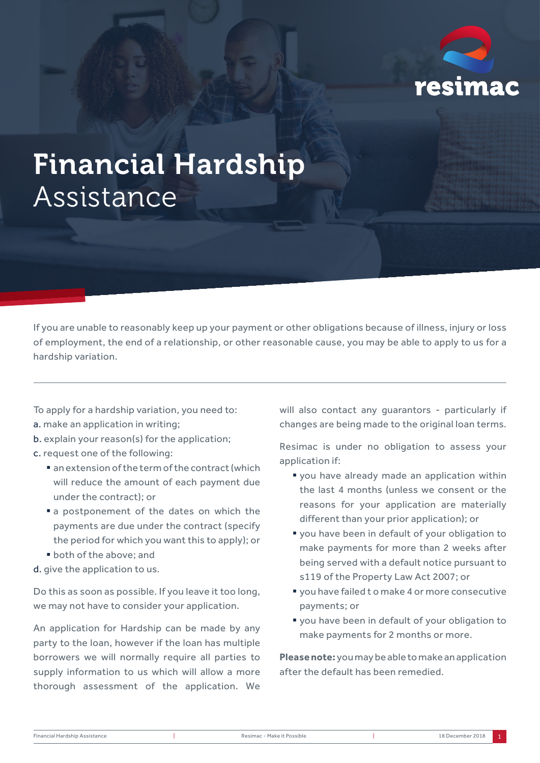

# Financial Hardship Assistance

If you are unable to reasonably keep up your payment or other obligations because of illness, injury or loss of employment, the end of a relationship, or other reasonable cause, you may be able to apply to us for a hardship variation.

To apply for a hardship variation, you need to:

- a. make an application in writing;
- b. explain your reason(s) for the application;
- c. request one of the following:
	- $\blacksquare$  an extension of the term of the contract (which will reduce the amount of each payment due under the contract); or
	- a postponement of the dates on which the payments are due under the contract (specify the period for which you want this to apply); or
	- § both of the above; and
- d. give the application to us.

Do this as soon as possible. If you leave it too long, we may not have to consider your application.

An application for Hardship can be made by any party to the loan, however if the loan has multiple borrowers we will normally require all parties to supply information to us which will allow a more thorough assessment of the application. We

will also contact any quarantors - particularly if changes are being made to the original loan terms.

Resimac is under no obligation to assess your application if:

- § you have already made an application within the last 4 months (unless we consent or the reasons for your application are materially different than your prior application); or
- § you have been in default of your obligation to make payments for more than 2 weeks after being served with a default notice pursuant to s119 of the Property Law Act 2007; or
- you have failed t o make 4 or more consecutive payments; or
- you have been in default of your obligation to make payments for 2 months or more.

**Please note:** you may be able to make an application after the default has been remedied.

| <b>Financial Hardship Assistance</b> | Resimac - Make it Possible | 18 December 2018 |
|--------------------------------------|----------------------------|------------------|
|--------------------------------------|----------------------------|------------------|